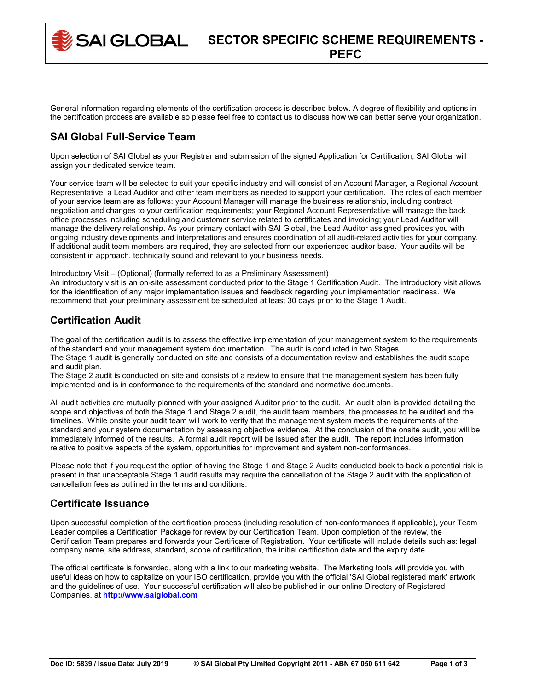SAI GLOBAL

General information regarding elements of the certification process is described below. A degree of flexibility and options in the certification process are available so please feel free to contact us to discuss how we can better serve your organization.

# **SAI Global Full-Service Team**

Upon selection of SAI Global as your Registrar and submission of the signed Application for Certification, SAI Global will assign your dedicated service team.

Your service team will be selected to suit your specific industry and will consist of an Account Manager, a Regional Account Representative, a Lead Auditor and other team members as needed to support your certification. The roles of each member of your service team are as follows: your Account Manager will manage the business relationship, including contract negotiation and changes to your certification requirements; your Regional Account Representative will manage the back office processes including scheduling and customer service related to certificates and invoicing; your Lead Auditor will manage the delivery relationship. As your primary contact with SAI Global, the Lead Auditor assigned provides you with ongoing industry developments and interpretations and ensures coordination of all audit-related activities for your company. If additional audit team members are required, they are selected from our experienced auditor base. Your audits will be consistent in approach, technically sound and relevant to your business needs.

Introductory Visit – (Optional) (formally referred to as a Preliminary Assessment)

An introductory visit is an on-site assessment conducted prior to the Stage 1 Certification Audit. The introductory visit allows for the identification of any major implementation issues and feedback regarding your implementation readiness. We recommend that your preliminary assessment be scheduled at least 30 days prior to the Stage 1 Audit.

## **Certification Audit**

The goal of the certification audit is to assess the effective implementation of your management system to the requirements of the standard and your management system documentation. The audit is conducted in two Stages. The Stage 1 audit is generally conducted on site and consists of a documentation review and establishes the audit scope and audit plan.

The Stage 2 audit is conducted on site and consists of a review to ensure that the management system has been fully implemented and is in conformance to the requirements of the standard and normative documents.

All audit activities are mutually planned with your assigned Auditor prior to the audit. An audit plan is provided detailing the scope and objectives of both the Stage 1 and Stage 2 audit, the audit team members, the processes to be audited and the timelines. While onsite your audit team will work to verify that the management system meets the requirements of the standard and your system documentation by assessing objective evidence. At the conclusion of the onsite audit, you will be immediately informed of the results. A formal audit report will be issued after the audit. The report includes information relative to positive aspects of the system, opportunities for improvement and system non-conformances.

Please note that if you request the option of having the Stage 1 and Stage 2 Audits conducted back to back a potential risk is present in that unacceptable Stage 1 audit results may require the cancellation of the Stage 2 audit with the application of cancellation fees as outlined in the terms and conditions.

## **Certificate Issuance**

Upon successful completion of the certification process (including resolution of non-conformances if applicable), your Team Leader compiles a Certification Package for review by our Certification Team. Upon completion of the review, the Certification Team prepares and forwards your Certificate of Registration. Your certificate will include details such as: legal company name, site address, standard, scope of certification, the initial certification date and the expiry date.

The official certificate is forwarded, along with a link to our marketing website. The Marketing tools will provide you with useful ideas on how to capitalize on your ISO certification, provide you with the official 'SAI Global registered mark' artwork and the guidelines of use. Your successful certification will also be published in our online Directory of Registered Companies, at **[http://www.saiglobal.com](http://www.saiglobal.com/)**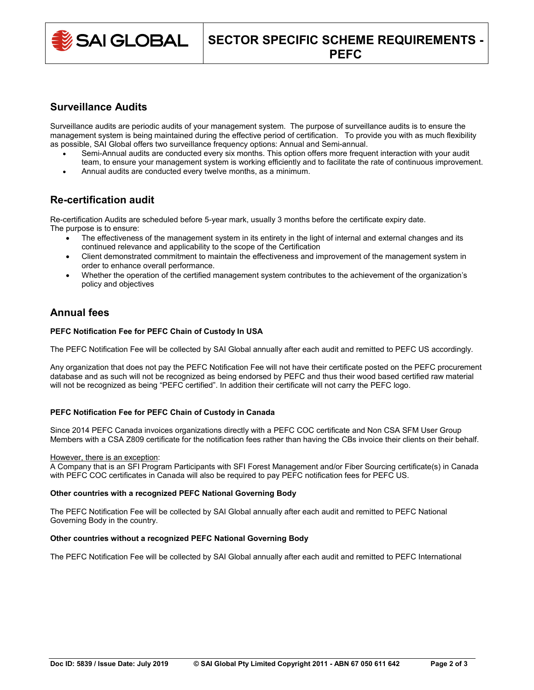

## **Surveillance Audits**

Surveillance audits are periodic audits of your management system. The purpose of surveillance audits is to ensure the management system is being maintained during the effective period of certification. To provide you with as much flexibility as possible, SAI Global offers two surveillance frequency options: Annual and Semi-annual.

- Semi-Annual audits are conducted every six months. This option offers more frequent interaction with your audit team, to ensure your management system is working efficiently and to facilitate the rate of continuous improvement.
- Annual audits are conducted every twelve months, as a minimum.

# **Re-certification audit**

Re-certification Audits are scheduled before 5-year mark, usually 3 months before the certificate expiry date. The purpose is to ensure:

- The effectiveness of the management system in its entirety in the light of internal and external changes and its continued relevance and applicability to the scope of the Certification
- Client demonstrated commitment to maintain the effectiveness and improvement of the management system in order to enhance overall performance.
- Whether the operation of the certified management system contributes to the achievement of the organization's policy and objectives

# **Annual fees**

### **PEFC Notification Fee for PEFC Chain of Custody In USA**

The PEFC Notification Fee will be collected by SAI Global annually after each audit and remitted to PEFC US accordingly.

Any organization that does not pay the PEFC Notification Fee will not have their certificate posted on the PEFC procurement database and as such will not be recognized as being endorsed by PEFC and thus their wood based certified raw material will not be recognized as being "PEFC certified". In addition their certificate will not carry the PEFC logo.

### **PEFC Notification Fee for PEFC Chain of Custody in Canada**

Since 2014 PEFC Canada invoices organizations directly with a PEFC COC certificate and Non CSA SFM User Group Members with a CSA Z809 certificate for the notification fees rather than having the CBs invoice their clients on their behalf.

#### However, there is an exception:

A Company that is an SFI Program Participants with SFI Forest Management and/or Fiber Sourcing certificate(s) in Canada with PEFC COC certificates in Canada will also be required to pay PEFC notification fees for PEFC US.

### **Other countries with a recognized PEFC National Governing Body**

The PEFC Notification Fee will be collected by SAI Global annually after each audit and remitted to PEFC National Governing Body in the country.

### **Other countries without a recognized PEFC National Governing Body**

The PEFC Notification Fee will be collected by SAI Global annually after each audit and remitted to PEFC International